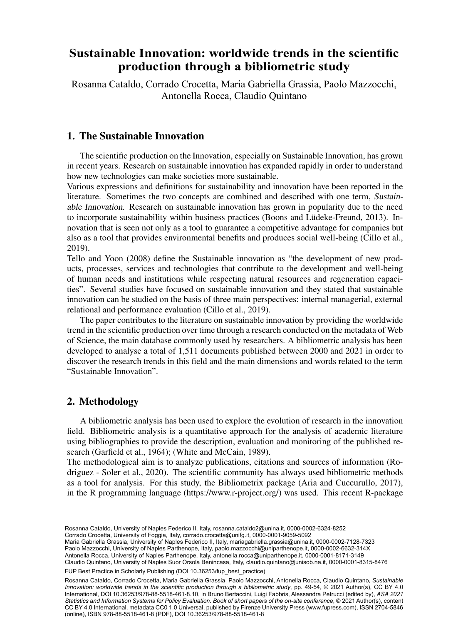### Sustainable Innovation: worldwide trends in the scientific b Department of Economics, University of Fourth of Theorem production through a bibliometric study

Rosanna Cataldo, Corrado Crocetta, Maria Gabriella Grassia, Paolo Mazzocchi, d Department of Legal Sciences - University of Naples Sciences - University of Naples Sciences - University of N

### 1. The Sustainable Innovation

The scientific production on the Innovation, especially on Sustainable Innovation, has grown in recent years. Research on sustainable innovation has expanded rapidly in order to understand how new technologies can make societies more sustainable.

Various expressions and definitions for sustainability and innovation have been reported in the literature. Sometimes the two concepts are combined and described with one term, *Sustainable Innovation*. Research on sustainable innovation has grown in popularity due to the need to incorporate sustainability within business practices (Boons and Lüdeke-Freund, 2013). Innovation that is seen not only as a tool to guarantee a competitive advantage for companies but also as a tool that provides environmental benefits and produces social well-being (Cillo et al., 2019).

Tello and Yoon (2008) define the Sustainable innovation as "the development of new products, processes, services and technologies that contribute to the development and well-being of human needs and institutions while respecting natural resources and regeneration capacities". Several studies have focused on sustainable innovation and they stated that sustainable innovation can be studied on the basis of three main perspectives: internal managerial, external relational and performance evaluation (Cillo et al., 2019).

The paper contributes to the literature on sustainable innovation by providing the worldwide trend in the scientific production over time through a research conducted on the metadata of Web of Science, the main database commonly used by researchers. A bibliometric analysis has been developed to analyse a total of 1,511 documents published between 2000 and 2021 in order to discover the research trends in this field and the main dimensions and words related to the term "Sustainable Innovation".

# 2. Methodology

A bibliometric analysis has been used to explore the evolution of research in the innovation field. Bibliometric analysis is a quantitative approach for the analysis of academic literature using bibliographies to provide the description, evaluation and monitoring of the published research (Garfield et al., 1964); (White and McCain, 1989).

The methodological aim is to analyze publications, citations and sources of information (Rodriguez - Soler et al., 2020). The scientific community has always used bibliometric methods as a tool for analysis. For this study, the Bibliometrix package (Aria and Cuccurullo, 2017), in the R programming language (https://www.r-project.org/) was used. This recent R-package

39 Corrado Crocetta, University of Foggia, Italy, [corrado.crocetta@unifg.it](mailto:corrado.crocetta@unifg.it), [0000-0001-9059-5092](https://orcid.org/0000-0001-9059-5092) Maria Gabriella Grassia, University of Naples Federico II, Italy, [mariagabriella.grassia@unina.it](mailto:mariagabriella.grassia@unina.it), [0000-0002-7128-7323](https://orcid.org/0000-0002-7128-7323)

Paolo Mazzocchi, University of Naples Parthenope, Italy, [paolo.mazzocchi@uniparthenope.it](mailto:paolo.mazzocchi@uniparthenope.it), [0000-0002-6632-314X](https://orcid.org/0000-0002-6632-314X) Antonella Rocca, University of Naples Parthenope, Italy, [antonella.rocca@uniparthenope.it,](mailto:antonella.rocca@uniparthenope.it) [0000-0001-8171-3149](https://orcid.org/0000-0001-8171-3149) Claudio Quintano, University of Naples Suor Orsola Benincasa, Italy, [claudio.quintano@unisob.na.it,](mailto:claudio.quintano@unisob.na.it) [0000-0001-8315-8476](https://orcid.org/0000-0001-8315-8476)

FUP Best Practice in Scholarly Publishing (DOI 10.36253/fup best practice)

Rosanna Cataldo, Corrado Crocetta, Maria Gabriella Grassia, Paolo Mazzocchi, Antonella Rocca, Claudio Quintano, *Sustainable Innovation: worldwide trends in the scientific production through a bibliometric study*, pp. 49-54, © 2021 Author(s), [CC BY 4.0](http://creativecommons.org/licenses/by/4.0/legalcode) [International](http://creativecommons.org/licenses/by/4.0/legalcode), DOI [10.36253/978-88-5518-461-8.10](https://doi.org/10.36253/978-88-5518-461-8.10), in Bruno Bertaccini, Luigi Fabbris, Alessandra Petrucci (edited by), *ASA 2021 Statistics and Information Systems for Policy Evaluation. Book of short papers of the on-site conference*, © 2021 Author(s), content [CC BY 4.0 International](http://creativecommons.org/licenses/by/4.0/legalcode), metadata [CC0 1.0 Universal](https://creativecommons.org/publicdomain/zero/1.0/legalcode), published by Firenze University Press ([www.fupress.com\)](http://www.fupress.com), ISSN 2704-5846 (online), ISBN 978-88-5518-461-8 (PDF), DOI [10.36253/978-88-5518-461-8](https://doi.org/10.36253/978-88-5518-461-8)

Rosanna Cataldo, University of Naples Federico II, Italy, [rosanna.cataldo2@unina.it](mailto:rosanna.cataldo2@unina.it), [0000-0002-6324-8252](https://orcid.org/0000-0002-6324-8252)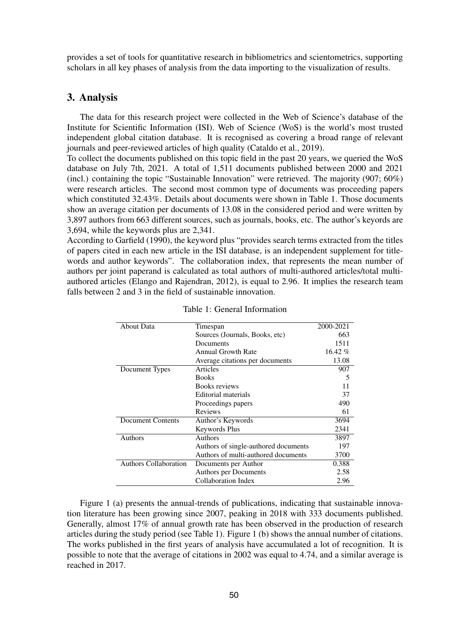provides a set of tools for quantitative research in bibliometrics and scientometrics, supporting scholars in all key phases of analysis from the data importing to the visualization of results.

### 3. Analysis

The data for this research project were collected in the Web of Science's database of the Institute for Scientific Information (ISI). Web of Science (WoS) is the world's most trusted independent global citation database. It is recognised as covering a broad range of relevant journals and peer-reviewed articles of high quality (Cataldo et al., 2019).

To collect the documents published on this topic field in the past 20 years, we queried the WoS database on July 7th, 2021. A total of 1,511 documents published between 2000 and 2021 (incl.) containing the topic "Sustainable Innovation" were retrieved. The majority (907; 60%) were research articles. The second most common type of documents was proceeding papers which constituted 32.43%. Details about documents were shown in Table 1. Those documents show an average citation per documents of 13.08 in the considered period and were written by 3,897 authors from 663 different sources, such as journals, books, etc. The author's keyords are 3,694, while the keywords plus are 2,341.

According to Garfield (1990), the keyword plus "provides search terms extracted from the titles of papers cited in each new article in the ISI database, is an independent supplement for titlewords and author keywords". The collaboration index, that represents the mean number of authors per joint paperand is calculated as total authors of multi-authored articles/total multiauthored articles (Elango and Rajendran, 2012), is equal to 2.96. It implies the research team falls between 2 and 3 in the field of sustainable innovation.

| <b>About Data</b>            | Timespan                             | 2000-2021 |
|------------------------------|--------------------------------------|-----------|
|                              | Sources (Journals, Books, etc)       | 663       |
|                              | Documents                            | 1511      |
|                              | <b>Annual Growth Rate</b>            | $16.42\%$ |
|                              | Average citations per documents      | 13.08     |
| Document Types               | Articles                             | 907       |
|                              | <b>Books</b>                         | 5         |
|                              | Books reviews                        | 11        |
|                              | Editorial materials                  | 37        |
|                              | Proceedings papers                   | 490       |
|                              | <b>Reviews</b>                       | 61        |
| <b>Document Contents</b>     | Author's Keywords                    | 3694      |
|                              | Keywords Plus                        | 2341      |
| Authors                      | Authors                              | 3897      |
|                              | Authors of single-authored documents | 197       |
|                              | Authors of multi-authored documents  | 3700      |
| <b>Authors Collaboration</b> | Documents per Author                 | 0.388     |
|                              | Authors per Documents                | 2.58      |
|                              | Collaboration Index                  | 2.96      |

Table 1: General Information

Figure 1 (a) presents the annual-trends of publications, indicating that sustainable innovation literature has been growing since 2007, peaking in 2018 with 333 documents published. Generally, almost 17% of annual growth rate has been observed in the production of research articles during the study period (see Table 1). Figure 1 (b) shows the annual number of citations. The works published in the first years of analysis have accumulated a lot of recognition. It is possible to note that the average of citations in 2002 was equal to 4.74, and a similar average is reached in 2017.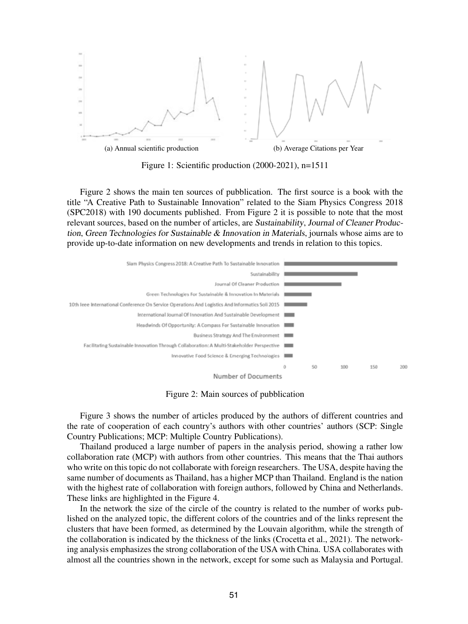

Figure 1: Scientific production (2000-2021), n=1511

Figure 2 shows the main ten sources of pubblication. The first source is a book with the title "A Creative Path to Sustainable Innovation" related to the Siam Physics Congress 2018 (SPC2018) with 190 documents published. From Figure 2 it is possible to note that the most relevant sources, based on the number of articles, are *Sustainability*, *Journal of Cleaner Production*, *Green Technologies for Sustainable & Innovation in Materials*, journals whose aims are to provide up-to-date information on new developments and trends in relation to this topics.



Figure 2: Main sources of pubblication

Figure 3 shows the number of articles produced by the authors of different countries and the rate of cooperation of each country's authors with other countries' authors (SCP: Single Country Publications; MCP: Multiple Country Publications).

Thailand produced a large number of papers in the analysis period, showing a rather low collaboration rate (MCP) with authors from other countries. This means that the Thai authors who write on this topic do not collaborate with foreign researchers. The USA, despite having the same number of documents as Thailand, has a higher MCP than Thailand. England is the nation with the highest rate of collaboration with foreign authors, followed by China and Netherlands. These links are highlighted in the Figure 4.

In the network the size of the circle of the country is related to the number of works published on the analyzed topic, the different colors of the countries and of the links represent the clusters that have been formed, as determined by the Louvain algorithm, while the strength of the collaboration is indicated by the thickness of the links (Crocetta et al., 2021). The networking analysis emphasizes the strong collaboration of the USA with China. USA collaborates with almost all the countries shown in the network, except for some such as Malaysia and Portugal.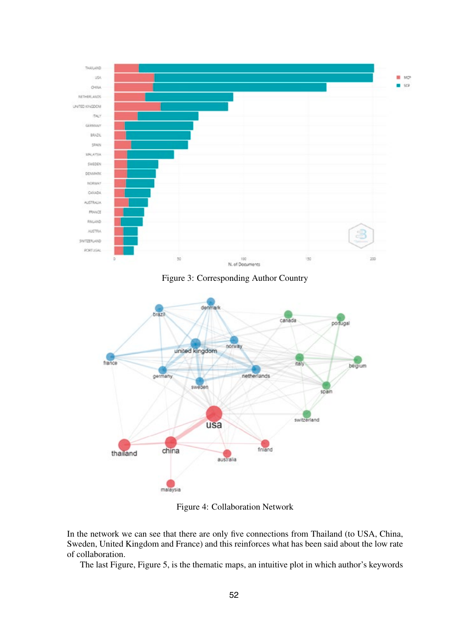

Figure 3: Corresponding Author Country



Figure 4: Collaboration Network

In the network we can see that there are only five connections from Thailand (to USA, China, Sweden, United Kingdom and France) and this reinforces what has been said about the low rate of collaboration.

The last Figure, Figure 5, is the thematic maps, an intuitive plot in which author's keywords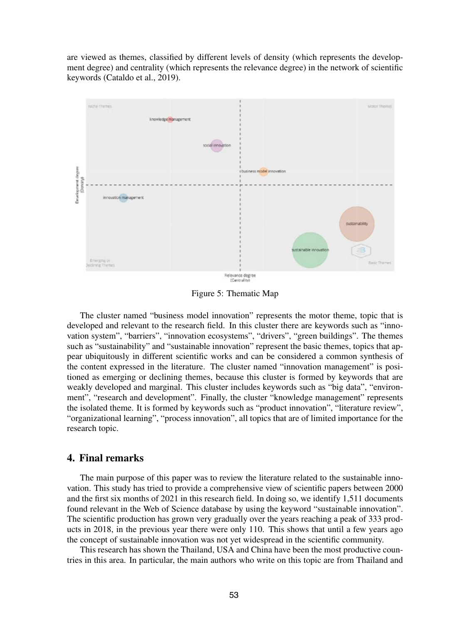are viewed as themes, classified by different levels of density (which represents the development degree) and centrality (which represents the relevance degree) in the network of scientific keywords (Cataldo et al., 2019).



Figure 5: Thematic Map

The cluster named "business model innovation" represents the motor theme, topic that is developed and relevant to the research field. In this cluster there are keywords such as "innovation system", "barriers", "innovation ecosystems", "drivers", "green buildings". The themes such as "sustainability" and "sustainable innovation" represent the basic themes, topics that appear ubiquitously in different scientific works and can be considered a common synthesis of the content expressed in the literature. The cluster named "innovation management" is positioned as emerging or declining themes, because this cluster is formed by keywords that are weakly developed and marginal. This cluster includes keywords such as "big data", "environment", "research and development". Finally, the cluster "knowledge management" represents the isolated theme. It is formed by keywords such as "product innovation", "literature review", "organizational learning", "process innovation", all topics that are of limited importance for the research topic.

#### 4. Final remarks

The main purpose of this paper was to review the literature related to the sustainable innovation. This study has tried to provide a comprehensive view of scientific papers between 2000 and the first six months of 2021 in this research field. In doing so, we identify 1,511 documents found relevant in the Web of Science database by using the keyword "sustainable innovation". The scientific production has grown very gradually over the years reaching a peak of 333 products in 2018, in the previous year there were only 110. This shows that until a few years ago the concept of sustainable innovation was not yet widespread in the scientific community.

This research has shown the Thailand, USA and China have been the most productive countries in this area. In particular, the main authors who write on this topic are from Thailand and